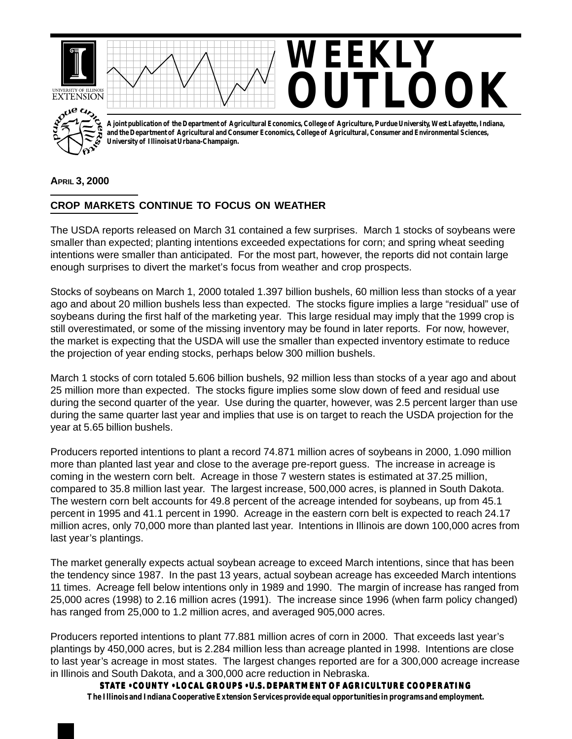

## **APRIL 3, 2000**

## **CROP MARKETS CONTINUE TO FOCUS ON WEATHER**

The USDA reports released on March 31 contained a few surprises. March 1 stocks of soybeans were smaller than expected; planting intentions exceeded expectations for corn; and spring wheat seeding intentions were smaller than anticipated. For the most part, however, the reports did not contain large enough surprises to divert the market's focus from weather and crop prospects.

Stocks of soybeans on March 1, 2000 totaled 1.397 billion bushels, 60 million less than stocks of a year ago and about 20 million bushels less than expected. The stocks figure implies a large "residual" use of soybeans during the first half of the marketing year. This large residual may imply that the 1999 crop is still overestimated, or some of the missing inventory may be found in later reports. For now, however, the market is expecting that the USDA will use the smaller than expected inventory estimate to reduce the projection of year ending stocks, perhaps below 300 million bushels.

March 1 stocks of corn totaled 5.606 billion bushels, 92 million less than stocks of a year ago and about 25 million more than expected. The stocks figure implies some slow down of feed and residual use during the second quarter of the year. Use during the quarter, however, was 2.5 percent larger than use during the same quarter last year and implies that use is on target to reach the USDA projection for the year at 5.65 billion bushels.

Producers reported intentions to plant a record 74.871 million acres of soybeans in 2000, 1.090 million more than planted last year and close to the average pre-report guess. The increase in acreage is coming in the western corn belt. Acreage in those 7 western states is estimated at 37.25 million, compared to 35.8 million last year. The largest increase, 500,000 acres, is planned in South Dakota. The western corn belt accounts for 49.8 percent of the acreage intended for soybeans, up from 45.1 percent in 1995 and 41.1 percent in 1990. Acreage in the eastern corn belt is expected to reach 24.17 million acres, only 70,000 more than planted last year. Intentions in Illinois are down 100,000 acres from last year's plantings.

The market generally expects actual soybean acreage to exceed March intentions, since that has been the tendency since 1987. In the past 13 years, actual soybean acreage has exceeded March intentions 11 times. Acreage fell below intentions only in 1989 and 1990. The margin of increase has ranged from 25,000 acres (1998) to 2.16 million acres (1991). The increase since 1996 (when farm policy changed) has ranged from 25,000 to 1.2 million acres, and averaged 905,000 acres.

Producers reported intentions to plant 77.881 million acres of corn in 2000. That exceeds last year's plantings by 450,000 acres, but is 2.284 million less than acreage planted in 1998. Intentions are close to last year's acreage in most states. The largest changes reported are for a 300,000 acreage increase in Illinois and South Dakota, and a 300,000 acre reduction in Nebraska.

**STATE • COUNTY • LOCAL GROUPS • U.S. DEPARTMENT OF AGRICULTURE COOPERATING The Illinois and Indiana Cooperative Extension Services provide equal opportunities in programs and employment.**